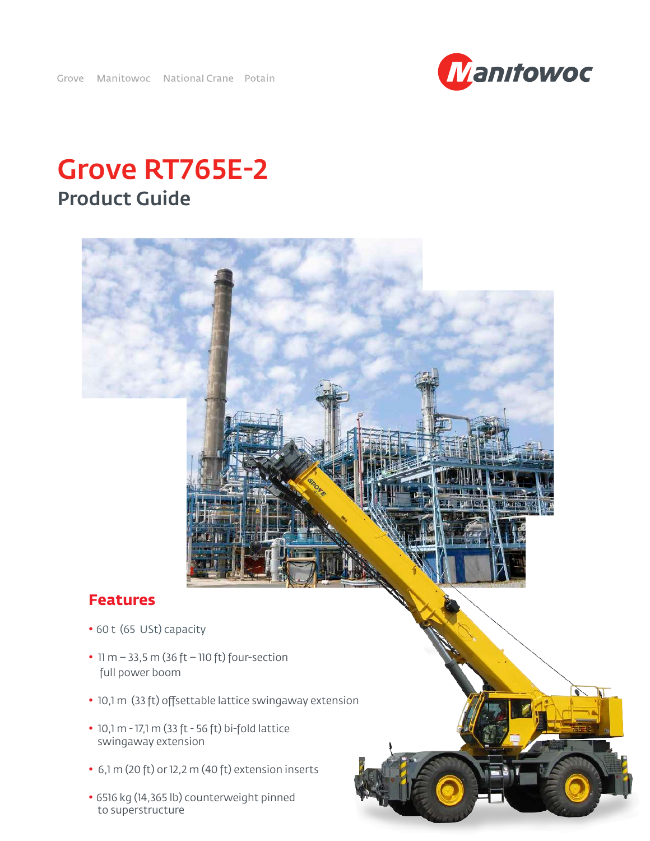Grove Manitowoc National Crane Potain

# Grove RT765E-2 Product Guide



# **Features**

- 60 t (65 USt) capacity
- 11 m  $-$  33,5 m (36 ft  $-$  110 ft) four-section full power boom
- 10,1 m (33 ft) offsettable lattice swingaway extension
- 10,1 m 17,1 m (33 ft 56 ft) bi-fold lattice swingaway extension
- 6,1 m (20 ft) or 12,2 m (40 ft) extension inserts
- 6516 kg (14,365 lb) counterweight pinned to superstructure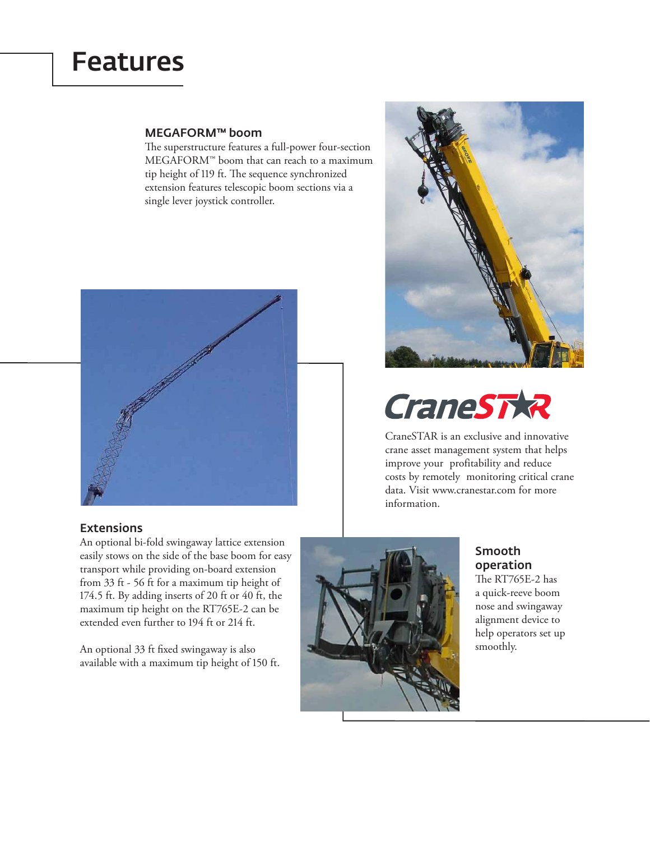# Features

### MEGAFORM™ boom

he superstructure features a full-power four-section MEGAFORM™ boom that can reach to a maximum tip height of 119 ft. The sequence synchronized extension features telescopic boom sections via a single lever joystick controller.



### Extensions

An optional bi-fold swingaway lattice extension easily stows on the side of the base boom for easy transport while providing on-board extension from 33 ft - 56 ft for a maximum tip height of 174.5 ft. By adding inserts of 20 ft or 40 ft, the maximum tip height on the RT765E-2 can be extended even further to 194 ft or 214 ft.

An optional 33 ft fixed swingaway is also available with a maximum tip height of 150 ft.



# **CraneSTXR**

CraneSTAR is an exclusive and innovative crane asset management system that helps improve your profitability and reduce costs by remotely monitoring critical crane data. Visit www.cranestar.com for more information.



## Smooth operation

he RT765E-2 has a quick-reeve boom nose and swingaway alignment device to help operators set up smoothly.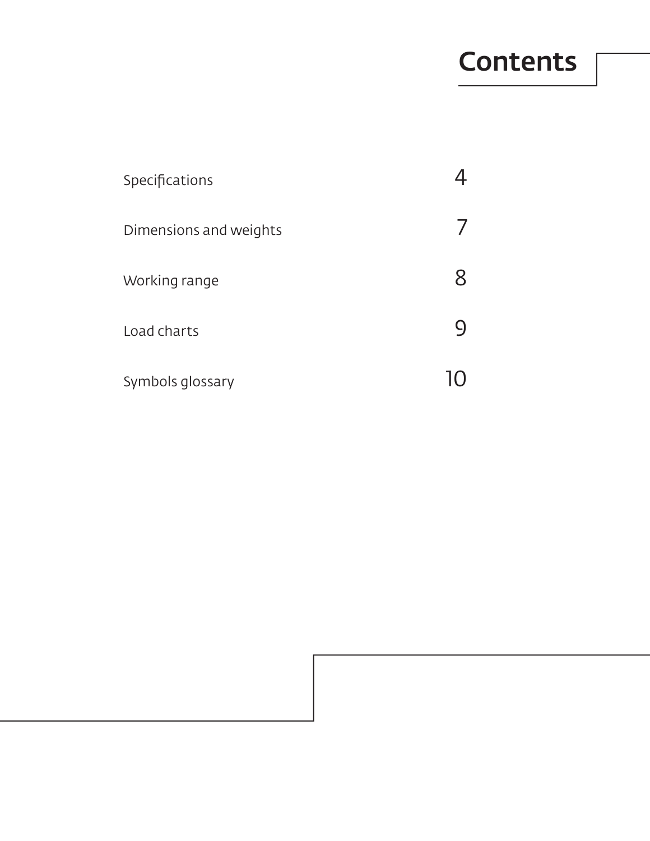# **Contents**

| Specifications         |  |
|------------------------|--|
| Dimensions and weights |  |
| Working range          |  |
| Load charts            |  |
| Symbols glossary       |  |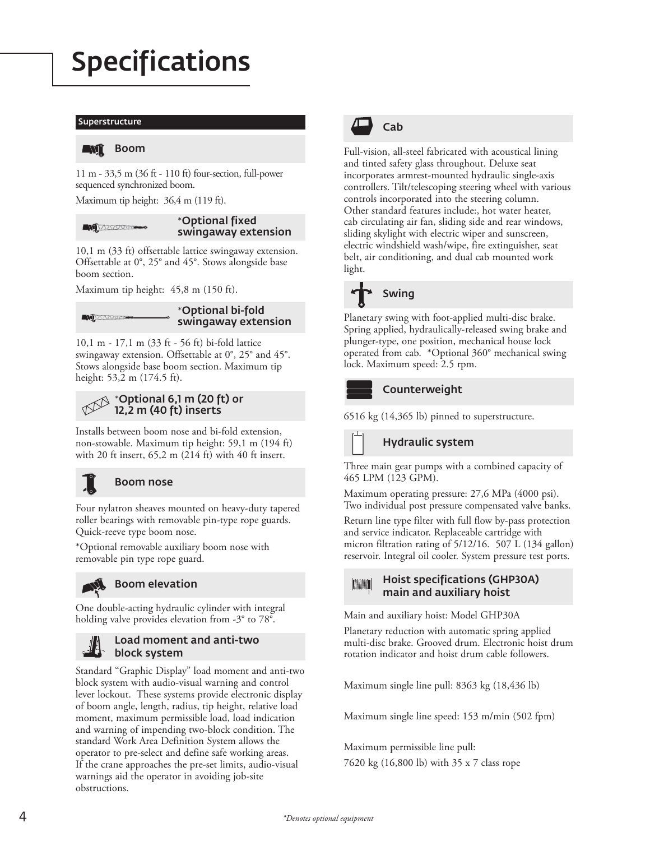# Specifications

#### Superstructure

#### $\blacksquare D$ l Boom

11 m - 33,5 m (36 ft - 110 ft) four-section, full-power sequenced synchronized boom.

Maximum tip height: 36,4 m (119 ft).

#### \*Optional fixed **AND** swingaway extension

10,1 m (33 ft) offsettable lattice swingaway extension. Offsettable at 0°, 25° and 45°. Stows alongside base boom section.

Maximum tip height: 45,8 m (150 ft).

#### \*Optional bi-fold Avj swingaway extension

10,1 m - 17,1 m (33 ft - 56 ft) bi-fold lattice swingaway extension. Offsettable at 0°, 25° and 45°. Stows alongside base boom section. Maximum tip height: 53,2 m (174.5 ft).

### \*Optional 6,1 m (20 ft) or 12,2 m (40 ft) inserts

Installs between boom nose and bi-fold extension, non-stowable. Maximum tip height: 59,1 m (194 ft) with 20 ft insert, 65,2 m (214 ft) with 40 ft insert.



### Boom nose

Four nylatron sheaves mounted on heavy-duty tapered roller bearings with removable pin-type rope guards. Quick-reeve type boom nose.

\*Optional removable auxiliary boom nose with removable pin type rope guard.



One double-acting hydraulic cylinder with integral holding valve provides elevation from -3° to 78°.

### Load moment and anti-two block system

Standard "Graphic Display" load moment and anti-two block system with audio-visual warning and control lever lockout. These systems provide electronic display of boom angle, length, radius, tip height, relative load moment, maximum permissible load, load indication and warning of impending two-block condition. The standard Work Area Definition System allows the operator to pre-select and define safe working areas. If the crane approaches the pre-set limits, audio-visual warnings aid the operator in avoiding job-site obstructions.



Full-vision, all-steel fabricated with acoustical lining and tinted safety glass throughout. Deluxe seat incorporates armrest-mounted hydraulic single-axis controllers. Tilt/telescoping steering wheel with various controls incorporated into the steering column. Other standard features include:, hot water heater, cab circulating air fan, sliding side and rear windows, sliding skylight with electric wiper and sunscreen, electric windshield wash/wipe, fire extinguisher, seat belt, air conditioning, and dual cab mounted work light.



Planetary swing with foot-applied multi-disc brake. Spring applied, hydraulically-released swing brake and plunger-type, one position, mechanical house lock operated from cab. \*Optional 360° mechanical swing lock. Maximum speed: 2.5 rpm.

### Counterweight

6516 kg (14,365 lb) pinned to superstructure.

Hydraulic system

Three main gear pumps with a combined capacity of 465 LPM (123 GPM).

Maximum operating pressure: 27,6 MPa (4000 psi). Two individual post pressure compensated valve banks.

Return line type filter with full flow by-pass protection and service indicator. Replaceable cartridge with micron filtration rating of 5/12/16. 507 L (134 gallon) reservoir. Integral oil cooler. System pressure test ports.

#### Hoist specifications (GHP30A) **TARRIET STATE** main and auxiliary hoist

Main and auxiliary hoist: Model GHP30A

Planetary reduction with automatic spring applied multi-disc brake. Grooved drum. Electronic hoist drum rotation indicator and hoist drum cable followers.

Maximum single line pull: 8363 kg (18,436 lb)

Maximum single line speed: 153 m/min (502 fpm)

Maximum permissible line pull: 7620 kg (16,800 lb) with 35 x 7 class rope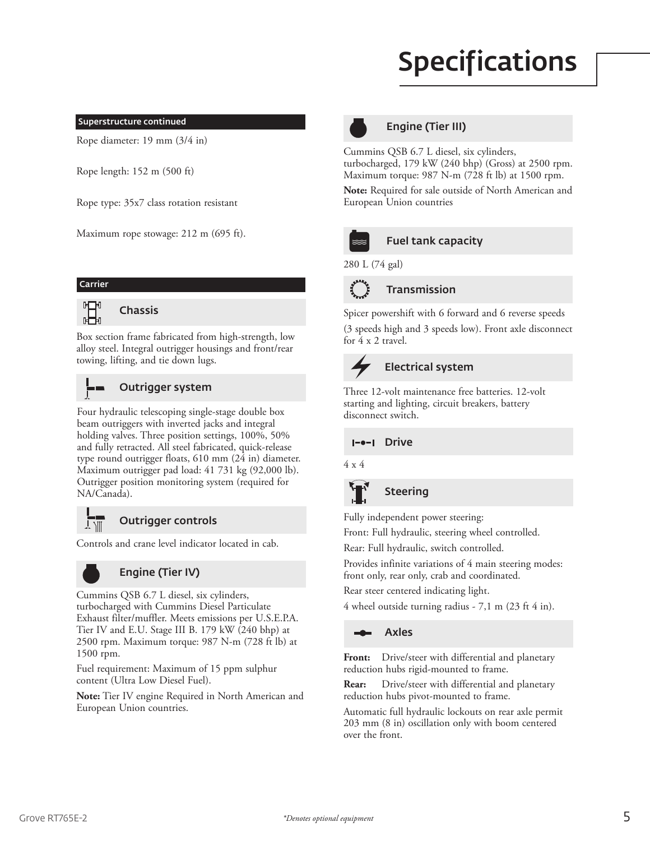# Specifications

#### Superstructure continued

Rope diameter: 19 mm (3/4 in)

Rope length: 152 m (500 ft)

Rope type: 35x7 class rotation resistant

Maximum rope stowage: 212 m (695 ft).

#### Carrier



Box section frame fabricated from high-strength, low alloy steel. Integral outrigger housings and front/rear

towing, lifting, and tie down lugs.

### Outrigger system

Four hydraulic telescoping single-stage double box beam outriggers with inverted jacks and integral holding valves. Three position settings, 100%, 50% and fully retracted. All steel fabricated, quick-release type round outrigger floats, 610 mm (24 in) diameter. Maximum outrigger pad load: 41 731 kg (92,000 lb). Outrigger position monitoring system (required for NA/Canada).



### Outrigger controls

Controls and crane level indicator located in cab.



### Engine (Tier IV)

Cummins QSB 6.7 L diesel, six cylinders, turbocharged with Cummins Diesel Particulate Exhaust filter/muffler. Meets emissions per U.S.E.P.A. Tier IV and E.U. Stage III B. 179 kW (240 bhp) at 2500 rpm. Maximum torque: 987 N-m (728 ft lb) at 1500 rpm.

Fuel requirement: Maximum of 15 ppm sulphur content (Ultra Low Diesel Fuel).

**Note:** Tier IV engine Required in North American and European Union countries.



### Engine (Tier III)

Cummins QSB 6.7 L diesel, six cylinders, turbocharged, 179 kW (240 bhp) (Gross) at 2500 rpm. Maximum torque: 987 N-m (728 ft lb) at 1500 rpm.

**Note:** Required for sale outside of North American and European Union countries



### Fuel tank capacity

280 L (74 gal)

for 4 x 2 travel.



Spicer powershift with 6 forward and 6 reverse speeds (3 speeds high and 3 speeds low). Front axle disconnect

# Electrical system

Three 12-volt maintenance free batteries. 12-volt starting and lighting, circuit breakers, battery disconnect switch.

I- $-$ I Drive

4 x 4

### **Steering**

Fully independent power steering:

Front: Full hydraulic, steering wheel controlled.

Rear: Full hydraulic, switch controlled.

Provides infinite variations of 4 main steering modes: front only, rear only, crab and coordinated.

Rear steer centered indicating light.

4 wheel outside turning radius - 7,1 m (23 ft 4 in).

### Axles

**Front:** Drive/steer with differential and planetary reduction hubs rigid-mounted to frame.

**Rear:** Drive/steer with differential and planetary reduction hubs pivot-mounted to frame.

Automatic full hydraulic lockouts on rear axle permit 203 mm (8 in) oscillation only with boom centered over the front.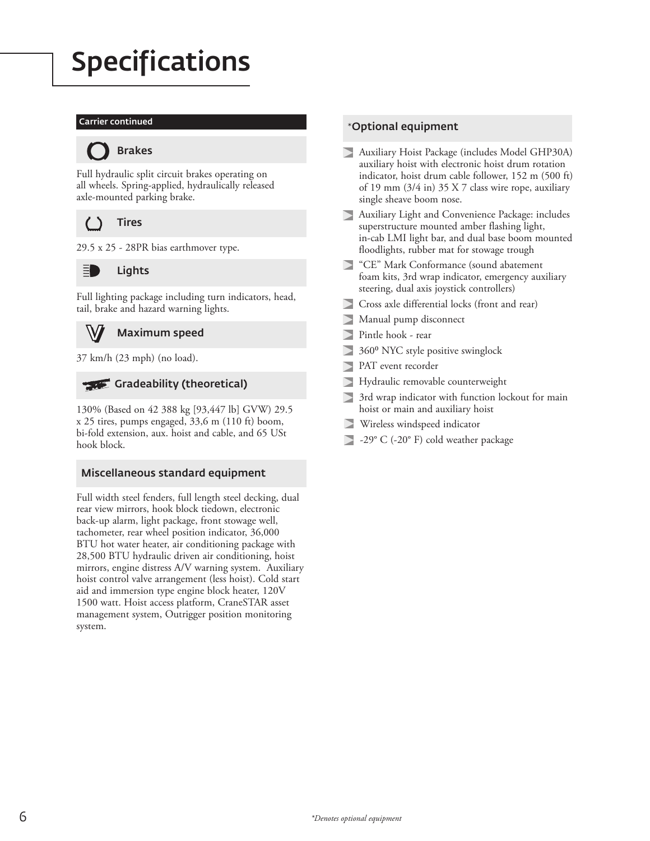# Specifications

### Carrier continued



Full hydraulic split circuit brakes operating on all wheels. Spring-applied, hydraulically released

axle-mounted parking brake.

**Tires** 





Lights

Full lighting package including turn indicators, head, tail, brake and hazard warning lights.

### Maximum speed

37 km/h (23 mph) (no load).

### Gradeability (theoretical)

130% (Based on 42 388 kg [93,447 lb] GVW) 29.5 x 25 tires, pumps engaged, 33,6 m (110 ft) boom, bi-fold extension, aux. hoist and cable, and 65 USt hook block.

### Miscellaneous standard equipment

Full width steel fenders, full length steel decking, dual rear view mirrors, hook block tiedown, electronic back-up alarm, light package, front stowage well, tachometer, rear wheel position indicator, 36,000 BTU hot water heater, air conditioning package with 28,500 BTU hydraulic driven air conditioning, hoist mirrors, engine distress A/V warning system. Auxiliary hoist control valve arrangement (less hoist). Cold start aid and immersion type engine block heater, 120V 1500 watt. Hoist access platform, CraneSTAR asset management system, Outrigger position monitoring system.

### \*Optional equipment

- Auxiliary Hoist Package (includes Model GHP30A) auxiliary hoist with electronic hoist drum rotation indicator, hoist drum cable follower, 152 m (500 ft) of 19 mm (3/4 in) 35 X 7 class wire rope, auxiliary single sheave boom nose.
- Auxiliary Light and Convenience Package: includes superstructure mounted amber flashing light, in-cab LMI light bar, and dual base boom mounted floodlights, rubber mat for stowage trough
- "CE" Mark Conformance (sound abatement foam kits, 3rd wrap indicator, emergency auxiliary steering, dual axis joystick controllers)
- Cross axle differential locks (front and rear)
- $\triangleright$ Manual pump disconnect
- Pintle hook rear D
- 360⁰ NYC style positive swinglock  $\triangleright$
- $\triangleright$ PAT event recorder
- Hydraulic removable counterweight  $\triangleright$
- 3rd wrap indicator with function lockout for main hoist or main and auxiliary hoist
- Wireless windspeed indicator
- -29° C (-20° F) cold weather package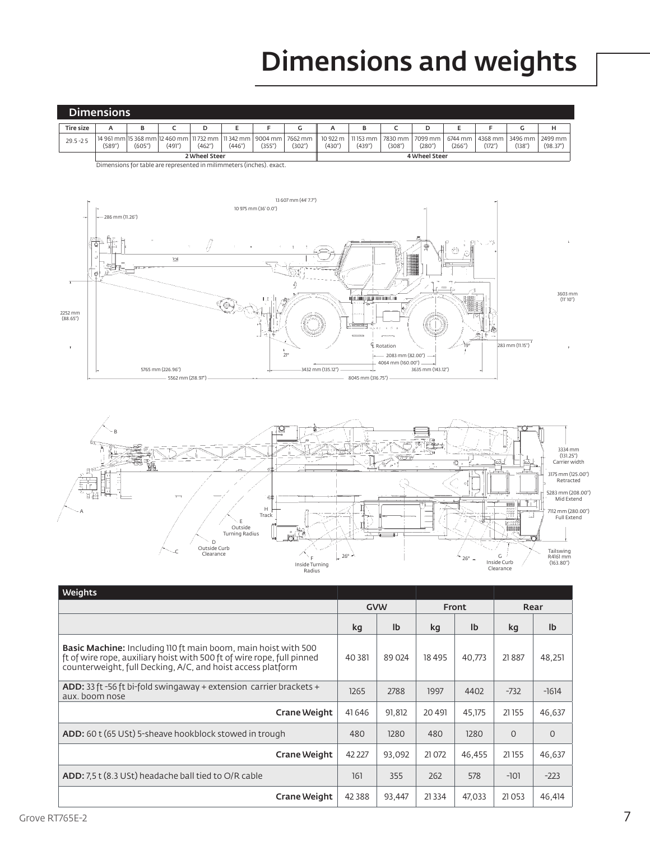# Dimensions and weights

|                  | <b>Dimensions</b> |        |        |        |        |        |                                                                                                    |        |                                          |        |       |        |                                        |        |                     |
|------------------|-------------------|--------|--------|--------|--------|--------|----------------------------------------------------------------------------------------------------|--------|------------------------------------------|--------|-------|--------|----------------------------------------|--------|---------------------|
| <b>Tire size</b> |                   | в      |        |        |        |        |                                                                                                    |        | в                                        |        |       |        |                                        | u      |                     |
| $29.5 - 25$      | (589'')           | (605") | (491") | (462") | (446") | (355") | 14 961 mm   15 368 mm   12 460 mm   11 732 mm   11 342 mm   9004 mm   7662 mm    10 922 m<br>(302" | (430") | 11 153 mm   7830 mm   7099 mm  <br>(439" | (308") | (280" | (266") | 6744 mm   4368 mm   3496 mm  <br>(172" | (138") | 2499 mm<br>(98.37") |
|                  | 2 Wheel Steer     |        |        |        |        |        |                                                                                                    |        | 4 Wheel Steer                            |        |       |        |                                        |        |                     |

Dimensions for table are represented in milimmeters (inches). exact.





| <b>Weights</b>                                                                                                                                                                                                 |          |            |              |        |          |              |
|----------------------------------------------------------------------------------------------------------------------------------------------------------------------------------------------------------------|----------|------------|--------------|--------|----------|--------------|
|                                                                                                                                                                                                                |          | <b>GVW</b> | <b>Front</b> |        |          | Rear         |
|                                                                                                                                                                                                                | kg       | Ib         | kq           | Ib     | kg       | Ib           |
| <b>Basic Machine:</b> Including 110 ft main boom, main hoist with 500<br>ft of wire rope, auxiliary hoist with 500 ft of wire rope, full pinned<br>counterweight, full Decking, A/C, and hoist access platform | 40 381   | 89 024     | 18495        | 40.773 | 21887    | 48,251       |
| <b>ADD:</b> 33 ft -56 ft bi-fold swingaway + extension carrier brackets +<br>aux. boom nose                                                                                                                    | 1265     | 2788       | 1997         | 4402   | $-732$   | $-1614$      |
| Crane Weight                                                                                                                                                                                                   | 41 64 6  | 91,812     | 20 491       | 45.175 | 21155    | 46,637       |
| <b>ADD:</b> 60 t (65 USt) 5-sheave hookblock stowed in trough                                                                                                                                                  | 480      | 1280       | 480          | 1280   | $\Omega$ | $\mathbf{O}$ |
| Crane Weight                                                                                                                                                                                                   | 42 227   | 93,092     | 21 0 72      | 46.455 | 21155    | 46,637       |
| <b>ADD:</b> 7.5 t (8.3 USt) headache ball tied to O/R cable                                                                                                                                                    | 161      | 355        | 262          | 578    | $-101$   | $-223$       |
| Crane Weight                                                                                                                                                                                                   | 42 3 8 8 | 93,447     | 21 3 3 4     | 47,033 | 21053    | 46,414       |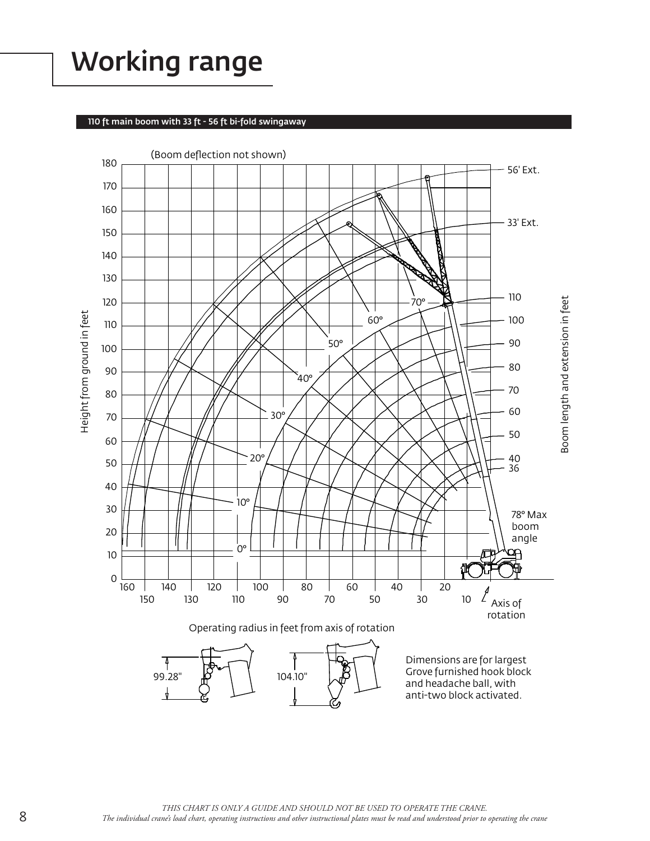# Working range

### 110 ft main boom with 33 ft - 56 ft bi-fold swingaway

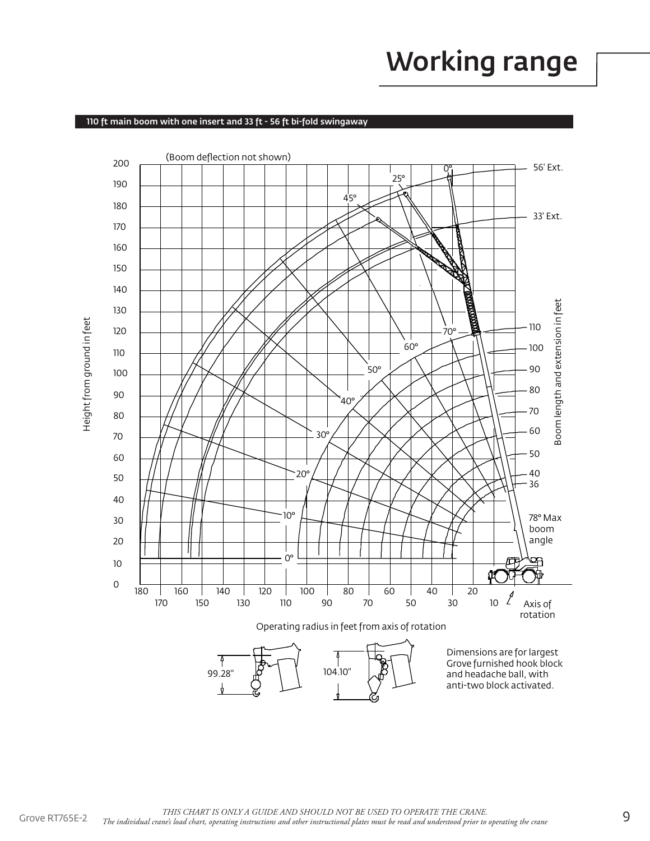# Working range

### 110 ft main boom with one insert and 33 ft - 56 ft bi-fold swingaway

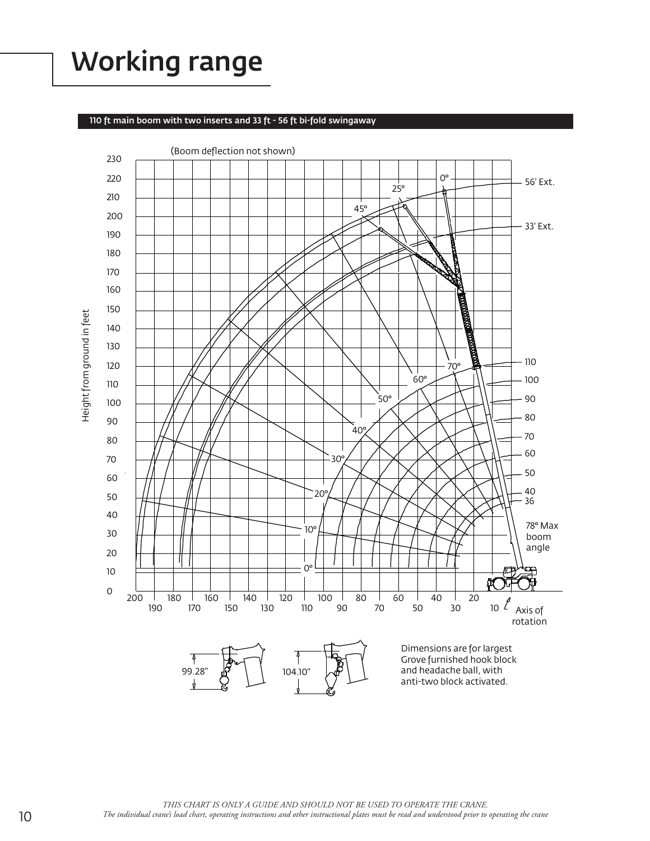# Working range

#### 110 ft main boom with two inserts and 33 ft - 56 ft bi-fold swingaway



THIS CHART IS ONLY A GUIDE AND SHOULD NOT BE USED TO OPERATE THE CRANE. *The individual crane's load chart, operating instructions and other instructional plates must be read and understood prior to operating the crane*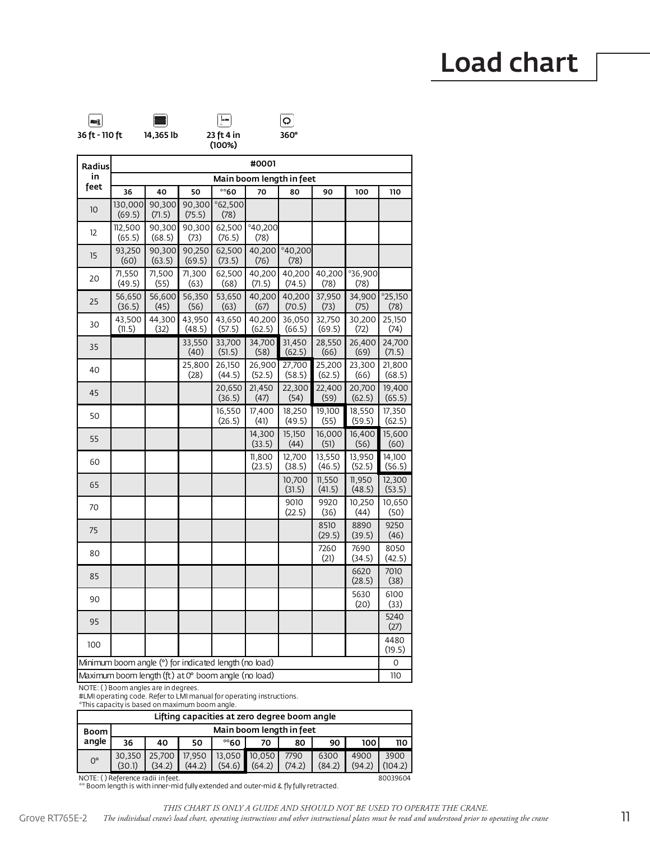

| <b>Radius</b> | #0001                                                 |                  |                  |                   |                   |                          |                  |                  |                   |
|---------------|-------------------------------------------------------|------------------|------------------|-------------------|-------------------|--------------------------|------------------|------------------|-------------------|
| in            |                                                       |                  |                  |                   |                   | Main boom length in feet |                  |                  |                   |
| feet          | 36                                                    | 40               | 50               | $\degree$ 60      | 70                | 80                       | 90               | 100              | 110               |
| 10            | 130,000<br>(69.5)                                     | 90,300<br>(71.5) | 90,300<br>(75.5) | $*62,500$<br>(78) |                   |                          |                  |                  |                   |
| 12            | 112,500<br>(65.5)                                     | 90,300<br>(68.5) | 90,300<br>(73)   | 62,500<br>(76.5)  | $*40,200$<br>(78) |                          |                  |                  |                   |
| 15            | 93,250<br>(60)                                        | 90,300<br>(63.5) | 90,250<br>(69.5) | 62,500<br>(73.5)  | 40,200<br>(76)    | $*40,200$<br>(78)        |                  |                  |                   |
| 20            | 71,550<br>(49.5)                                      | 71,500<br>(55)   | 71,300<br>(63)   | 62,500<br>(68)    | 40,200<br>(71.5)  | 40,200<br>(74.5)         | 40,200<br>(78)   | *36,900<br>(78)  |                   |
| 25            | 56,650<br>(36.5)                                      | 56,600<br>(45)   | 56,350<br>(56)   | 53,650<br>(63)    | 40,200<br>(67)    | 40,200<br>(70.5)         | 37,950<br>(73)   | 34,900<br>(75)   | $*25,150$<br>(78) |
| 30            | 43,500<br>(11.5)                                      | 44,300<br>(32)   | 43,950<br>(48.5) | 43,650<br>(57.5)  | 40,200<br>(62.5)  | 36,050<br>(66.5)         | 32,750<br>(69.5) | 30,200<br>(72)   | 25,150<br>(74)    |
| 35            |                                                       |                  | 33,550<br>(40)   | 33,700<br>(51.5)  | 34,700<br>(58)    | 31,450<br>(62.5)         | 28,550<br>(66)   | 26,400<br>(69)   | 24,700<br>(71.5)  |
| 40            |                                                       |                  | 25,800<br>(28)   | 26,150<br>(44.5)  | 26,900<br>(52.5)  | 27,700<br>(58.5)         | 25,200<br>(62.5) | 23,300<br>(66)   | 21,800<br>(68.5)  |
| 45            |                                                       |                  |                  | 20,650<br>(36.5)  | 21,450<br>(47)    | 22,300<br>(54)           | 22,400<br>(59)   | 20,700<br>(62.5) | 19,400<br>(65.5)  |
| 50            |                                                       |                  |                  | 16,550<br>(26.5)  | 17,400<br>(41)    | 18,250<br>(49.5)         | 19,100<br>(55)   | 18,550<br>(59.5) | 17,350<br>(62.5)  |
| 55            |                                                       |                  |                  |                   | 14,300<br>(33.5)  | 15,150<br>(44)           | 16,000<br>(51)   | 16,400<br>(56)   | 15,600<br>(60)    |
| 60            |                                                       |                  |                  |                   | 11,800<br>(23.5)  | 12.700<br>(38.5)         | 13,550<br>(46.5) | 13,950<br>(52.5) | 14,100<br>(56.5)  |
| 65            |                                                       |                  |                  |                   |                   | 10,700<br>(31.5)         | 11,550<br>(41.5) | 11,950<br>(48.5) | 12,300<br>(53.5)  |
| 70            |                                                       |                  |                  |                   |                   | 9010<br>(22.5)           | 9920<br>(36)     | 10,250<br>(44)   | 10,650<br>(50)    |
| 75            |                                                       |                  |                  |                   |                   |                          | 8510<br>(29.5)   | 8890<br>(39.5)   | 9250<br>(46)      |
| 80            |                                                       |                  |                  |                   |                   |                          | 7260<br>(21)     | 7690<br>(34.5)   | 8050<br>(42.5)    |
| 85            |                                                       |                  |                  |                   |                   |                          |                  | 6620<br>(28.5)   | 7010<br>(38)      |
| 90            |                                                       |                  |                  |                   |                   |                          |                  | 5630<br>(20)     | 6100<br>(33)      |
| 95            |                                                       |                  |                  |                   |                   |                          |                  |                  | 5240<br>(27)      |
| 100           |                                                       |                  |                  |                   |                   |                          |                  |                  | 4480<br>(19.5)    |
|               | Minimum boom angle (°) for indicated length (no load) |                  |                  |                   |                   |                          |                  |                  | 0                 |
|               | Maximum boom length (ft) at 0° boom angle (no load)   |                  |                  |                   |                   |                          |                  |                  | 110               |

NOTE: ( ) Boom angles are in degrees. #LMI operating code. Refer to LMI manual for operating instructions. \*This capacity is based on maximum boom angle.

|             | Lifting capacities at zero degree boom angle  |                          |                  |        |                         |                |                |                |                 |  |  |  |
|-------------|-----------------------------------------------|--------------------------|------------------|--------|-------------------------|----------------|----------------|----------------|-----------------|--|--|--|
| Boom        |                                               | Main boom length in feet |                  |        |                         |                |                |                |                 |  |  |  |
| angle       | 36                                            | 40                       | 50               | ™60    | 70                      | 80             | 90             | 100            | 110             |  |  |  |
| $0^{\circ}$ | 30.350<br>(30.1)                              | 25.700<br>(34.2)         | 17.950<br>(44.2) | (54.6) | 13.050 10.050<br>(64.2) | 7790<br>(74.2) | 6300<br>(84.2) | 4900<br>(94.2) | 3900<br>(104.2) |  |  |  |
|             | NOTE: () Reference radii in feet.<br>80039604 |                          |                  |        |                         |                |                |                |                 |  |  |  |

NOTE: ( ) Reference radii in feet. \*\* Boom length is with inner-mid fully extended and outer-mid & fly fully retracted.

*THIS CHART IS ONLY A GUIDE AND SHOULD NOT BE USED TO OPERATE THE CRANE.* 

Grove RT765E-2 The individual crane's load chart, operating instructions and other instructional plates must be read and understood prior to operating the crane **11**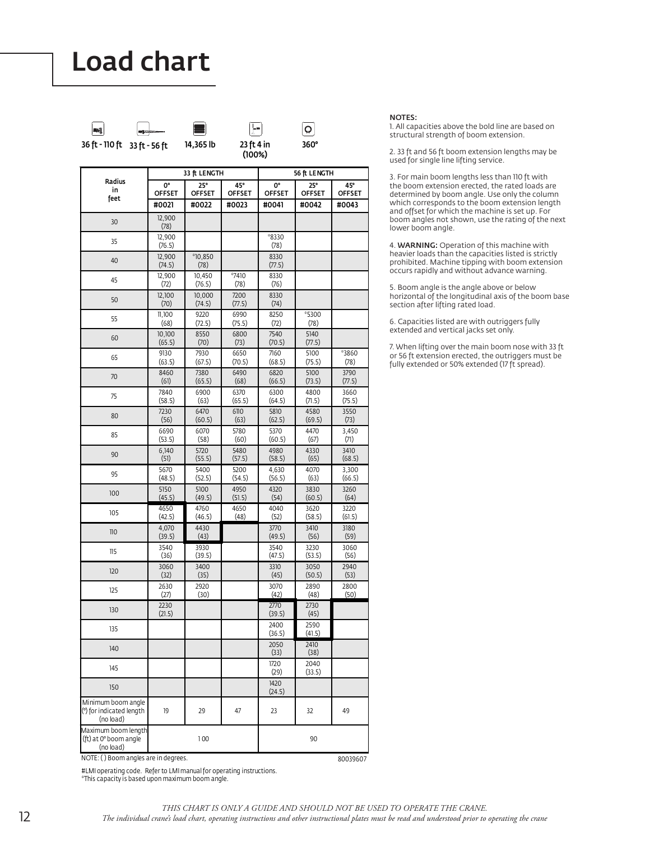

**Counterweight Outriggers**

lQ|

|                                                             |                        |                        | (100%)                 |                        |                        |                        |  |
|-------------------------------------------------------------|------------------------|------------------------|------------------------|------------------------|------------------------|------------------------|--|
|                                                             |                        | 33 ft LENGTH           |                        |                        | 56 ft LENGTH           |                        |  |
| Radius<br>in                                                | <b>0°</b>              | $25^{\circ}$           | 45°                    | 0°                     | $25^\circ$             | 45°                    |  |
| feet                                                        | <b>OFFSET</b><br>#0021 | <b>OFFSET</b><br>#0022 | <b>OFFSET</b><br>#0023 | <b>OFFSET</b><br>#0041 | <b>OFFSET</b><br>#0042 | <b>OFFSET</b><br>#0043 |  |
| 30                                                          | 12,900<br>(78)         |                        |                        |                        |                        |                        |  |
| 35                                                          | 12,900<br>(76.5)       |                        |                        | *8330<br>(78)          |                        |                        |  |
| 40                                                          | 12,900<br>(74.5)       | $*10,850$<br>(78)      |                        | 8330<br>(77.5)         |                        |                        |  |
| 45                                                          | 12,900<br>(72)         | 10,450<br>(76.5)       | $*7410$<br>(78)        | 8330<br>(76)           |                        |                        |  |
| 50                                                          | 12,100<br>(70)         | 10,000<br>(74.5)       | 7200<br>(77.5)         | 8330<br>(74)           |                        |                        |  |
| 55                                                          | 11,100<br>(68)         | 9220<br>(72.5)         | 6990<br>(75.5)         | 8250<br>(72)           | *5300<br>(78)          |                        |  |
| 60                                                          | 10,100<br>(65.5)       | 8550<br>(70)           | 6800<br>(73)           | 7540<br>(70.5)         | 5140<br>(77.5)         |                        |  |
| 65                                                          | 9130<br>(63.5)         | 7930<br>(67.5)         | 6650<br>(70.5)         | 7160<br>(68.5)         | 5100<br>(75.5)         | *3860<br>(78)          |  |
| 70                                                          | 8460<br>(61)           | 7380<br>(65.5)         | 6490<br>(68)           | 6820<br>(66.5)         | 5100<br>(73.5)         | 3790<br>(77.5)         |  |
| 75                                                          | 7840<br>(58.5)         | 6900<br>(63)           | 6370<br>(65.5)         | 6300<br>(64.5)         | 4800<br>(71.5)         | 3660<br>(75.5)         |  |
| 80                                                          | 7230<br>(56)           | 6470<br>(60.5)         | 6110<br>(63)           | 5810<br>(62.5)         | 4580<br>(69.5)         | 3550<br>(73)           |  |
| 85                                                          | 6690<br>(53.5)         | 6070<br>(58)           | 5780<br>(60)           | 5370<br>(60.5)         | 4470<br>(67)           | 3,450<br>(71)          |  |
| 90                                                          | 6,140<br>(51)          | 5720<br>(55.5)         | 5480<br>(57.5)         | 4980<br>(58.5)         | 4330<br>(65)           | 3410<br>(68.5)         |  |
| 95                                                          | 5670<br>(48.5)         | 5400<br>(52.5)         | 5200<br>(54.5)         | 4,630<br>(56.5)        | 4070<br>(63)           | 3,300<br>(66.5)        |  |
| 100                                                         | 5150<br>(45.5)         | 5100<br>(49.5)         | 4950<br>(51.5)         | 4320<br>(54)           | 3830<br>(60.5)         | 3260<br>(64)           |  |
| 105                                                         | 4650<br>(42.5)         | 4760<br>(46.5)         | 4650<br>(48)           | 4040<br>(52)           | 3620<br>(58.5)         | 3220<br>(61.5)         |  |
| 110                                                         | 4,070<br>(39.5)        | 4430<br>(43)           |                        | 3770<br>(49.5)         | 3410<br>(56)           | 3180<br>(59)           |  |
| 115                                                         | 3540<br>(36)           | 3930<br>(39.5)         |                        | 3540<br>(47.5)         | 3230<br>(53.5)         | 3060<br>(56)           |  |
| 120                                                         | 3060<br>(32)           | 3400<br>(35)           |                        | 3310<br>(45)           | 3050<br>(50.5)         | 2940<br>(53)           |  |
| 125                                                         | 2630<br>(27)           | 2920<br>(30)           |                        | 3070<br>(42)           | 2890<br>(48)           | 2800<br>(50)           |  |
| 130                                                         | 2230<br>(21.5)         |                        |                        | 2770<br>(39.5)         | 2730<br>(45)           |                        |  |
| 135                                                         |                        |                        |                        | 2400<br>(36.5)         | 2590<br>(41.5)         |                        |  |
| 140                                                         |                        |                        |                        | 2050<br>(33)           | 2410<br>(38)           |                        |  |
| 145                                                         |                        |                        |                        | 1720<br>(29)           | 2040<br>(33.5)         |                        |  |
| 150                                                         |                        |                        |                        | 1420<br>(24.5)         |                        |                        |  |
| Minimum boom angle<br>(°) for indicated length<br>(no load) | 19                     | 29                     | 47                     | 23                     | 32                     | 49                     |  |
| Maximum boom length<br>(ft) at 0° boom angle<br>(hch        |                        | 100                    |                        |                        | 90                     |                        |  |

NOTES:

1. All capacities above the bold line are based on structural strength of boom extension.

2. 33 ft and 56 ft boom extension lengths may be used for single line lifting service.

3. For main boom lengths less than 110 ft with the boom extension erected, the rated loads are determined by boom angle. Use only the column which corresponds to the boom extension length and offset for which the machine is set up. For boom angles not shown, use the rating of the next lower boom angle.

4. WARNING: Operation of this machine with heavier loads than the capacities listed is strictly prohibited. Machine tipping with boom extension occurs rapidly and without advance warning.

5. Boom angle is the angle above or below horizontal of the longitudinal axis of the boom base section after lifting rated load.

6. Capacities listed are with outriggers fully extended and vertical jacks set only.

7. When lifting over the main boom nose with 33 ft or 56 ft extension erected, the outriggers must be fully extended or 50% extended (17 ft spread).

NOTE: ( ) Boom angles are in degrees. 80039607

#LMI operating code. Refer to LMI manual for operating instructions. \*This capacity is based upon maximum boom angle.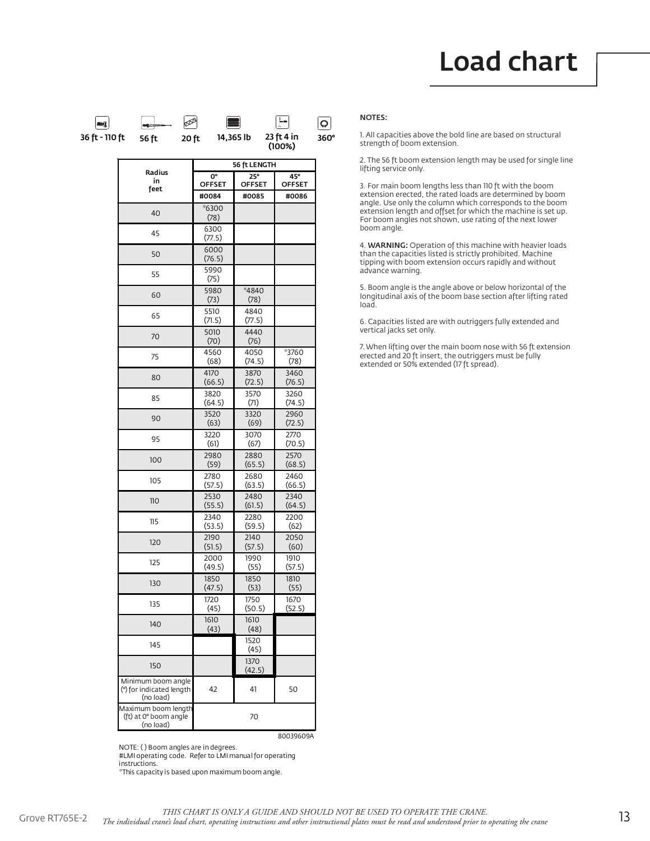

|                                                             |                | 56 ft LENGTH   |        |
|-------------------------------------------------------------|----------------|----------------|--------|
| Radius                                                      | 0°             | 25°            | 45°    |
| in                                                          | OFFSET         | <b>OFFSET</b>  | OFFSET |
| feet                                                        | #0084          | #0085          | #0086  |
| 40                                                          | *6300<br>(78)  |                |        |
| 45                                                          | 6300<br>(77.5) |                |        |
| 50                                                          | 6000<br>(76.5) |                |        |
| 55                                                          | 5990<br>(75)   |                |        |
| 60                                                          | 5980<br>(73)   | *4840<br>(78)  |        |
| 65                                                          | 5510<br>(71.5) | 4840<br>(77.5) |        |
| 70                                                          | 5010<br>(70)   | 4440<br>(76)   |        |
| 75                                                          | 4560           | 4050           | *3760  |
|                                                             | (68)           | (74.5)         | (78)   |
| 80                                                          | 4170           | 3870           | 3460   |
|                                                             | (66.5)         | (72.5)         | (76.5) |
| 85                                                          | 3820           | 3570           | 3260   |
|                                                             | (64.5)         | (71)           | (74.5) |
| 90                                                          | 3520           | 3320           | 2960   |
|                                                             | (63)           | (69)           | (72.5) |
| 95                                                          | 3220           | 3070           | 2770   |
|                                                             | (61)           | (67)           | (70.5) |
| 100                                                         | 2980           | 2880           | 2570   |
|                                                             | (59)           | (65.5)         | (68.5) |
| 105                                                         | 2780           | 2680           | 2460   |
|                                                             | (57.5)         | (63.5)         | (66.5) |
| 110                                                         | 2530           | 2480           | 2340   |
|                                                             | (55.5)         | (61.5)         | (64.5) |
| 115                                                         | 2340           | 2280           | 2200   |
|                                                             | (53.5)         | (59.5)         | (62)   |
| 120                                                         | 2190           | 2140           | 2050   |
|                                                             | (51.5)         | (57.5)         | (60)   |
| 125                                                         | 2000           | 1990           | 1910   |
|                                                             | (49.5)         | (55)           | (57.5) |
| 130                                                         | 1850           | 1850           | 1810   |
|                                                             | (47.5)         | (53)           | (55)   |
| 135                                                         | 1720           | 1750           | 1670   |
|                                                             | (45)           | (50.5)         | (52.5) |
| 140                                                         | 1610<br>(43)   | 1610<br>(48)   |        |
| 145                                                         |                | 1520<br>(45)   |        |
| 150                                                         |                | 1370<br>(42.5) |        |
| Minimum boom angle<br>(°) for indicated length<br>(no load) | 42             | 41             | 50     |
| Maximum boom length<br>(ft) at 0° boom angle<br>(no load)   |                | 70             |        |

NOTE: ( ) Boom angles are in degrees.

#LMI operating code. Refer to LMI manual for operating instructions.

\*This capacity is based upon maximum boom angle.

#### NOTES:

1. All capacities above the bold line are based on structural strength of boom extension.

2. The 56 ft boom extension length may be used for single line lifting service only.

3. For main boom lengths less than 110 ft with the boom extension erected, the rated loads are determined by boom angle. Use only the column which corresponds to the boom extension length and offset for which the machine is set up. For boom angles not shown, use rating of the next lower boom angle.

4. WARNING: Operation of this machine with heavier loads than the capacities listed is strictly prohibited. Machine tipping with boom extension occurs rapidly and without advance warning.

5. Boom angle is the angle above or below horizontal of the longitudinal axis of the boom base section after lifting rated load.

6. Capacities listed are with outriggers fully extended and vertical jacks set only.

7. When lifting over the main boom nose with 56 ft extension erected and 20 ft insert, the outriggers must be fully extended or 50% extended (17 ft spread).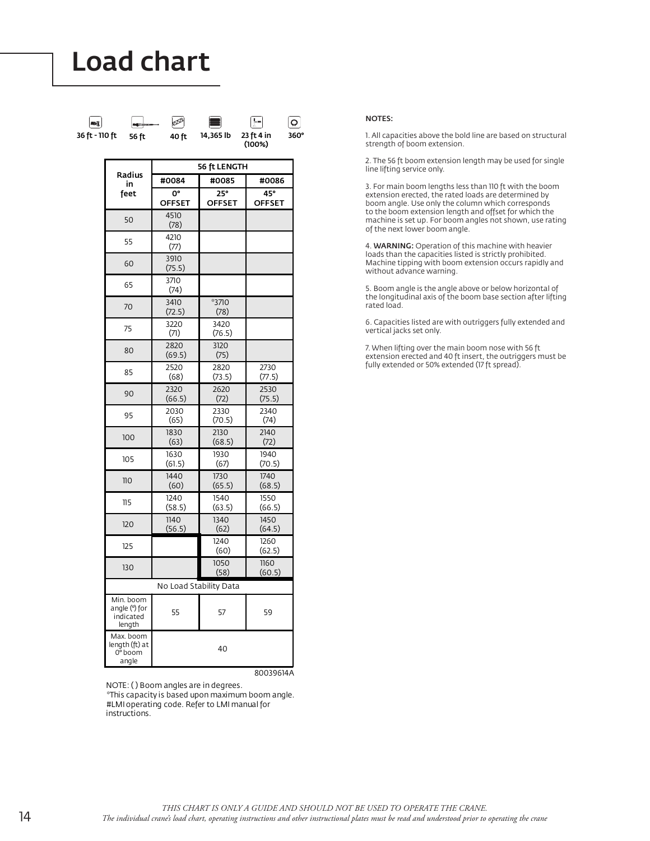

|                                                   | 56 ft LENGTH           |                      |                      |  |  |  |  |
|---------------------------------------------------|------------------------|----------------------|----------------------|--|--|--|--|
| Radius<br>in                                      | #0084                  | #0085                | #0086                |  |  |  |  |
| feet                                              | 0°<br><b>OFFSET</b>    | 25°<br><b>OFFSET</b> | 45°<br><b>OFFSET</b> |  |  |  |  |
| 50                                                | 4510<br>(78)           |                      |                      |  |  |  |  |
| 55                                                | 4210<br>(77)           |                      |                      |  |  |  |  |
| 60                                                | 3910<br>(75.5)         |                      |                      |  |  |  |  |
| 65                                                | 3710<br>(74)           |                      |                      |  |  |  |  |
| 70                                                | 3410<br>(72.5)         | *3710<br>(78)        |                      |  |  |  |  |
| 75                                                | 3220<br>(71)           | 3420<br>(76.5)       |                      |  |  |  |  |
| 80                                                | 2820<br>(69.5)         | 3120<br>(75)         |                      |  |  |  |  |
| 85                                                | 2520<br>(68)           | 2820<br>(73.5)       | 2730<br>(77.5)       |  |  |  |  |
| 90                                                | 2320<br>(66.5)         | 2620<br>(72)         | 2530<br>(75.5)       |  |  |  |  |
| 95                                                | 2030<br>(65)           | 2330<br>(70.5)       | 2340<br>(74)         |  |  |  |  |
| 100                                               | 1830<br>(63)           | 2130<br>(68.5)       | 2140<br>(72)         |  |  |  |  |
| 105                                               | 1630<br>(61.5)         | 1930<br>(67)         | 1940<br>(70.5)       |  |  |  |  |
| 110                                               | 1440<br>(60)           | 1730<br>(65.5)       | 1740<br>(68.5)       |  |  |  |  |
| $\overline{115}$                                  | 1240<br>(58.5)         | 1540<br>(63.5)       | 1550<br>(66.5)       |  |  |  |  |
| 120                                               | 1140<br>(56.5)         | 1340<br>(62)         | 1450<br>(64.5)       |  |  |  |  |
| 125                                               |                        | 1240<br>(60)         | 1260<br>(62.5)       |  |  |  |  |
| 130                                               |                        | 1050<br>(58)         | 1160<br>(60.5)       |  |  |  |  |
|                                                   | No Load Stability Data |                      |                      |  |  |  |  |
| Min. boom<br>angle (°) for<br>indicated<br>length | 55                     | 57                   | 59                   |  |  |  |  |
| Max. boom<br>length (ft) at<br>0° boom<br>angle   |                        | 40                   |                      |  |  |  |  |

80039614A

NOTE: ( ) Boom angles are in degrees.

\*This capacity is based upon maximum boom angle. #LMI operating code. Refer to LMI manual for instructions.

#### NOTES:

1. All capacities above the bold line are based on structural strength of boom extension.

2. The 56 ft boom extension length may be used for single line lifting service only.

3. For main boom lengths less than 110 ft with the boom extension erected, the rated loads are determined by boom angle. Use only the column which corresponds to the boom extension length and offset for which the machine is set up. For boom angles not shown, use rating of the next lower boom angle.

4. WARNING: Operation of this machine with heavier loads than the capacities listed is strictly prohibited. Machine tipping with boom extension occurs rapidly and without advance warning.

5. Boom angle is the angle above or below horizontal of the longitudinal axis of the boom base section after lifting rated load.

6. Capacities listed are with outriggers fully extended and vertical jacks set only.

7. When lifting over the main boom nose with 56 ft extension erected and 40 ft insert, the outriggers must be fully extended or 50% extended (17 ft spread).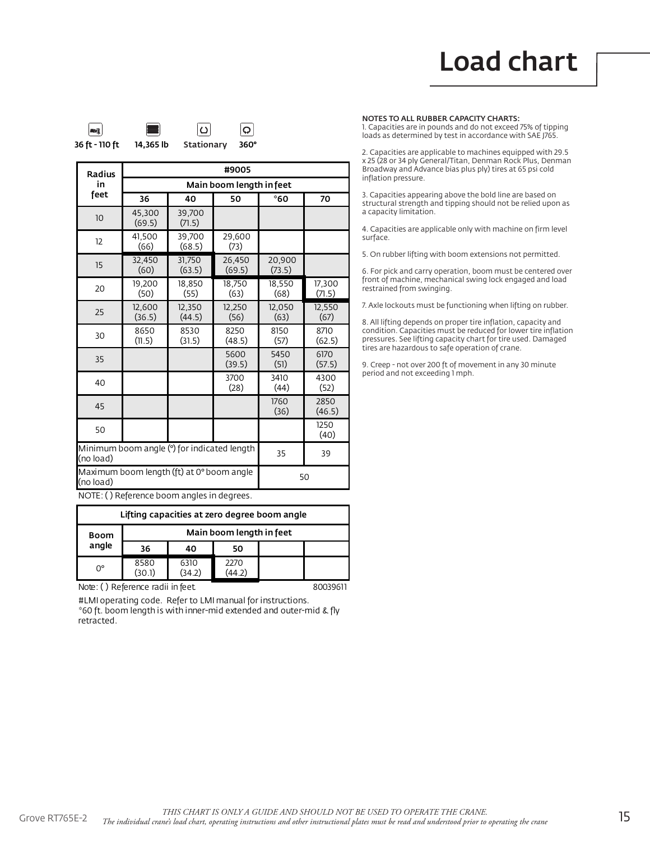

| Radius    | #9005                                       |                  |                  |                  |                  |  |  |  |  |
|-----------|---------------------------------------------|------------------|------------------|------------------|------------------|--|--|--|--|
| in        | Main boom length in feet                    |                  |                  |                  |                  |  |  |  |  |
| feet      | 36                                          | 40               | 50               | °60              | 70               |  |  |  |  |
| 10        | 45,300<br>(69.5)                            | 39,700<br>(71.5) |                  |                  |                  |  |  |  |  |
| 12        | 41.500<br>(66)                              | 39.700<br>(68.5) | 29,600<br>(73)   |                  |                  |  |  |  |  |
| 15        | 32,450<br>(60)                              | 31,750<br>(63.5) | 26,450<br>(69.5) | 20,900<br>(73.5) |                  |  |  |  |  |
| 20        | 19,200<br>(50)                              | 18,850<br>(55)   | 18,750<br>(63)   | 18,550<br>(68)   | 17,300<br>(71.5) |  |  |  |  |
| 25        | 12,600<br>(36.5)                            | 12,350<br>(44.5) | 12,250<br>(56)   | 12,050<br>(63)   | 12,550<br>(67)   |  |  |  |  |
| 30        | 8650<br>(11.5)                              | 8530<br>(31.5)   | 8250<br>(48.5)   | 8150<br>(57)     | 8710<br>(62.5)   |  |  |  |  |
| 35        |                                             |                  | 5600<br>(39.5)   | 5450<br>(51)     | 6170<br>(57.5)   |  |  |  |  |
| 40        |                                             |                  | 3700<br>(28)     | 3410<br>(44)     | 4300<br>(52)     |  |  |  |  |
| 45        |                                             |                  |                  | 1760<br>(36)     | 2850<br>(46.5)   |  |  |  |  |
| 50        |                                             |                  |                  |                  | 1250<br>(40)     |  |  |  |  |
| (no load) | Minimum boom angle (°) for indicated length | 35               | 39               |                  |                  |  |  |  |  |
| (no load) | Maximum boom length (ft) at 0° boom angle   |                  |                  |                  | 50               |  |  |  |  |

NOTE: ( ) Reference boom angles in degrees.

| Lifting capacities at zero degree boom angle |                          |                |             |  |  |  |  |  |
|----------------------------------------------|--------------------------|----------------|-------------|--|--|--|--|--|
| Boom<br>angle                                | Main boom length in feet |                |             |  |  |  |  |  |
|                                              | 36                       | 40             | 50          |  |  |  |  |  |
| $0^{\circ}$                                  | 8580<br>(30.1)           | 6310<br>(34.2) | 2270<br>44. |  |  |  |  |  |

Note: () Reference radii in feet. 20039611

#LMI operating code. Refer to LMI manual for instructions. \*60 ft. boom length is with inner-mid extended and outer-mid & fly retracted.

NOTES TO ALL RUBBER CAPACITY CHARTS:

1. Capacities are in pounds and do not exceed 75% of tipping loads as determined by test in accordance with SAE J765.

2. Capacities are applicable to machines equipped with 29.5 x 25 (28 or 34 ply General/Titan, Denman Rock Plus, Denman Broadway and Advance bias plus ply) tires at 65 psi cold inflation pressure.

3. Capacities appearing above the bold line are based on structural strength and tipping should not be relied upon as a capacity limitation.

4. Capacities are applicable only with machine on firm level surface.

5. On rubber lifting with boom extensions not permitted.

6. For pick and carry operation, boom must be centered over front of machine, mechanical swing lock engaged and load restrained from swinging.

7. Axle lockouts must be functioning when lifting on rubber.

8. All lifting depends on proper tire inflation, capacity and condition. Capacities must be reduced for lower tire inflation pressures. See lifting capacity chart for tire used. Damaged tires are hazardous to safe operation of crane.

9. Creep - not over 200 ft of movement in any 30 minute period and not exceeding 1 mph.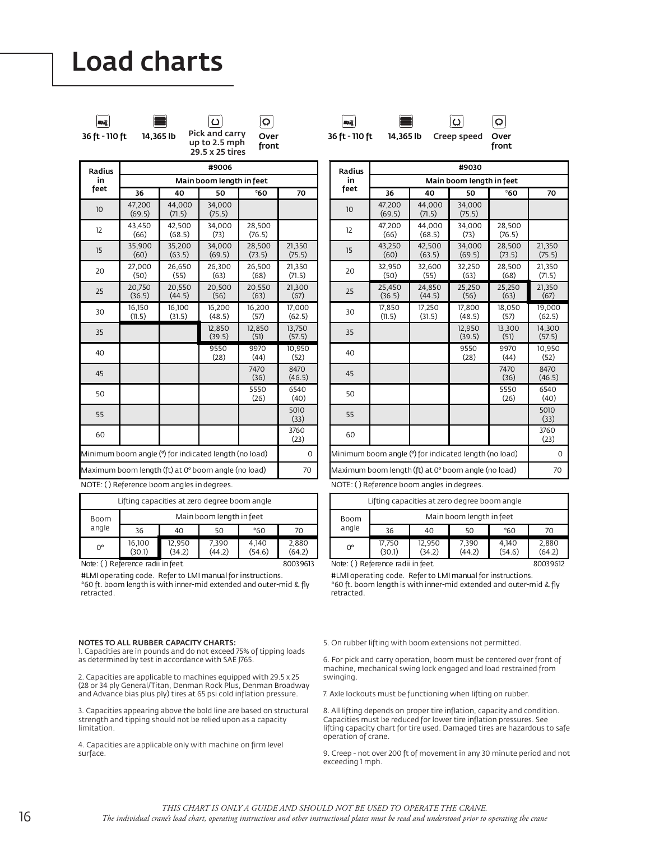

 $\circlearrowright$ Pick and carry

29.5 x 25 tires

36 ft - 110 ft  $\,$  14,365 lb PICK and carry Over front up to 2.5 mph

 $\Omega$ 



 $\boldsymbol{\Theta}$ 36 ft - 110 ft 14,365 lb Creep speed Over

ပြ

front

| Radius                                                | #9006                                               |                  |                          |                  |                  |  |  |  |  |
|-------------------------------------------------------|-----------------------------------------------------|------------------|--------------------------|------------------|------------------|--|--|--|--|
| in                                                    |                                                     |                  | Main boom length in feet |                  |                  |  |  |  |  |
| feet                                                  | 36                                                  | 40               | 50                       | °60              | 70               |  |  |  |  |
| 10                                                    | 47,200<br>(69.5)                                    | 44.000<br>(71.5) | 34.000<br>(75.5)         |                  |                  |  |  |  |  |
| 12                                                    | 43.450<br>(66)                                      | 42.500<br>(68.5) | 34.000<br>(73)           | 28,500<br>(76.5) |                  |  |  |  |  |
| 15                                                    | 35,900<br>(60)                                      | 35,200<br>(63.5) | 34,000<br>(69.5)         | 28,500<br>(73.5) | 21,350<br>(75.5) |  |  |  |  |
| 20                                                    | 27,000<br>(50)                                      | 26,650<br>(55)   | 26,300<br>(63)           | 26,500<br>(68)   | 21,350<br>(71.5) |  |  |  |  |
| 25                                                    | 20,750<br>(36.5)                                    | 20,550<br>(44.5) | 20,500<br>(56)           | 20,550<br>(63)   | 21,300<br>(67)   |  |  |  |  |
| 30                                                    | 16,150<br>(11.5)                                    | 16,100<br>(31.5) | 16,200<br>(48.5)         | 16,200<br>(57)   | 17.000<br>(62.5) |  |  |  |  |
| 35                                                    |                                                     |                  | 12,850<br>(39.5)         | 12,850<br>(51)   | 13,750<br>(57.5) |  |  |  |  |
| 40                                                    |                                                     |                  | 9550<br>(28)             | 9970<br>(44)     | 10,950<br>(52)   |  |  |  |  |
| 45                                                    |                                                     |                  |                          | 7470<br>(36)     | 8470<br>(46.5)   |  |  |  |  |
| 50                                                    |                                                     |                  |                          | 5550<br>(26)     | 6540<br>(40)     |  |  |  |  |
| 55                                                    |                                                     |                  |                          |                  | 5010<br>(33)     |  |  |  |  |
| 60                                                    |                                                     |                  |                          |                  | 3760<br>(23)     |  |  |  |  |
| Minimum boom angle (°) for indicated length (no load) | 0                                                   |                  |                          |                  |                  |  |  |  |  |
|                                                       | Maximum boom length (ft) at 0° boom angle (no load) |                  |                          |                  | 70               |  |  |  |  |
|                                                       | NOTE: () Reference boom angles in degrees           |                  |                          |                  |                  |  |  |  |  |

NOTE: ( ) Reference boom angles in degrees.

| Lifting capacities at zero degree boom angle |                          |                  |                 |                 |                 |  |  |  |  |  |
|----------------------------------------------|--------------------------|------------------|-----------------|-----------------|-----------------|--|--|--|--|--|
| Boom<br>angle                                | Main boom length in feet |                  |                 |                 |                 |  |  |  |  |  |
|                                              | 36                       | 40               | 50              | *60             | 70              |  |  |  |  |  |
| 0°                                           | 16,100<br>(30.1)         | 12,950<br>(34.2) | 7,390<br>(44.2) | 4,140<br>(54.6) | 2,880<br>(64.2) |  |  |  |  |  |

Note: () Reference radii in feet. 2003 3613

#LMI operating code. Refer to LMI manual for instructions. \*60 ft. boom length is with inner-mid extended and outer-mid & fly retracted.

NOTES TO ALL RUBBER CAPACITY CHARTS: 1. Capacities are in pounds and do not exceed 75% of tipping loads as determined by test in accordance with SAE J765.

2. Capacities are applicable to machines equipped with 29.5 x 25 (28 or 34 ply General/Titan, Denman Rock Plus, Denman Broadway and Advance bias plus ply) tires at 65 psi cold inflation pressure.

3. Capacities appearing above the bold line are based on structural strength and tipping should not be relied upon as a capacity limitation.

4. Capacities are applicable only with machine on firm level surface.

| Radius                                                | #9030                    |                  |                  |                  |                  |
|-------------------------------------------------------|--------------------------|------------------|------------------|------------------|------------------|
| in                                                    | Main boom length in feet |                  |                  |                  |                  |
| feet                                                  | 36                       | 40               | 50               | °60              | 70               |
| 10                                                    | 47.200<br>(69.5)         | 44.000<br>(7.5)  | 34.000<br>(75.5) |                  |                  |
| 12                                                    | 47,200<br>(66)           | 44,000<br>(68.5) | 34,000<br>(73)   | 28,500<br>(76.5) |                  |
| 15                                                    | 43,250<br>(60)           | 42,500<br>(63.5) | 34,000<br>(69.5) | 28,500<br>(73.5) | 21,350<br>(75.5) |
| 20                                                    | 32,950<br>(50)           | 32,600<br>(55)   | 32.250<br>(63)   | 28.500<br>(68)   | 21.350<br>(71.5) |
| 25                                                    | 25.450<br>(36.5)         | 24,850<br>(44.5) | 25,250<br>(56)   | 25,250<br>(63)   | 21.350<br>(67)   |
| 30                                                    | 17,850<br>(11.5)         | 17,250<br>(31.5) | 17,800<br>(48.5) | 18,050<br>(57)   | 19,000<br>(62.5) |
| 35                                                    |                          |                  | 12.950<br>(39.5) | 13,300<br>(51)   | 14.300<br>(57.5) |
| 40                                                    |                          |                  | 9550<br>(28)     | 9970<br>(44)     | 10.950<br>(52)   |
| 45                                                    |                          |                  |                  | 7470<br>(36)     | 8470<br>(46.5)   |
| 50                                                    |                          |                  |                  | 5550<br>(26)     | 6540<br>(40)     |
| 55                                                    |                          |                  |                  |                  | 5010<br>(33)     |
| 60                                                    |                          |                  |                  |                  | 3760<br>(23)     |
| Minimum boom angle (°) for indicated length (no load) |                          |                  |                  | $\Omega$         |                  |
| Maximum boom length (ft) at 0° boom angle (no load)   |                          |                  |                  | 70               |                  |

NOTE: ( ) Reference boom angles in degrees.

| Lifting capacities at zero degree boom angle |                          |                  |                 |                 |                 |
|----------------------------------------------|--------------------------|------------------|-----------------|-----------------|-----------------|
| Boom<br>angle                                | Main boom length in feet |                  |                 |                 |                 |
|                                              | 36                       | 40               | 50              | *60             | 70              |
| 0°                                           | 17,750<br>(30.1)         | 12,950<br>(34.2) | 7,390<br>(44.2) | 4,140<br>(54.6) | 2,880<br>(64.2) |
| Note: () Reference radii in feet             |                          |                  |                 | 80039612        |                 |

re: ( ) Reference radii in feet

#LMI operating code. Refer to LMI manual for instructions. \*60 ft. boom length is with inner-mid extended and outer-mid & fly retracted.

5. On rubber lifting with boom extensions not permitted.

6. For pick and carry operation, boom must be centered over front of machine, mechanical swing lock engaged and load restrained from swinging.

7. Axle lockouts must be functioning when lifting on rubber.

8. All lifting depends on proper tire inflation, capacity and condition. Capacities must be reduced for lower tire inflation pressures. See lifting capacity chart for tire used. Damaged tires are hazardous to safe operation of crane.

9. Creep - not over 200 ft of movement in any 30 minute period and not exceeding 1 mph.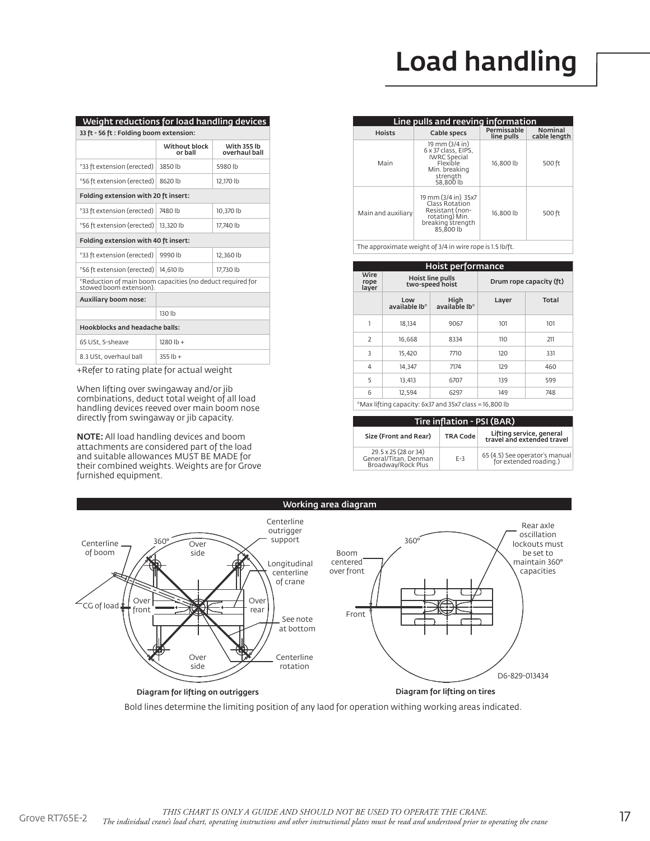# Load handling

| 33 ft - 56 ft : Folding boom extension:                                               |                                          |  |  |  |
|---------------------------------------------------------------------------------------|------------------------------------------|--|--|--|
|                                                                                       |                                          |  |  |  |
| Without block<br>or ball                                                              | <b>With 355 lb</b><br>overhaul ball      |  |  |  |
| 3850 lb                                                                               | 5980 lb                                  |  |  |  |
| 8620 lb                                                                               | 12.170 lb                                |  |  |  |
| Folding extension with 20 ft insert:                                                  |                                          |  |  |  |
| 7480 lb                                                                               | 10.370 lb                                |  |  |  |
| 13.320 lb                                                                             | 17.740 lb                                |  |  |  |
| Folding extension with 40 ft insert:                                                  |                                          |  |  |  |
| 9990 lb                                                                               | 12.360 lb                                |  |  |  |
| 14.610 lb                                                                             | 17.730 lb                                |  |  |  |
| *Reduction of main boom capacities (no deduct required for<br>stowed boom extension). |                                          |  |  |  |
| Auxiliary boom nose:                                                                  |                                          |  |  |  |
| 130 lb                                                                                |                                          |  |  |  |
| <b>Hookblocks and headache balls:</b>                                                 |                                          |  |  |  |
| $1280 lb +$                                                                           |                                          |  |  |  |
| $355$ lb +                                                                            |                                          |  |  |  |
|                                                                                       | . Deferte retire plate for actual uniobt |  |  |  |

+Refer to rating plate for actual weight

When lifting over swingaway and/or jib combinations, deduct total weight of all load handling devices reeved over main boom nose directly from swingaway or jib capacity.

NOTE: All load handling devices and boom attachments are considered part of the load and suitable allowances MUST BE MADE for their combined weights. Weights are for Grove furnished equipment.

| Line pulls and reeving information |                                                                                                                    |                           |                                |  |
|------------------------------------|--------------------------------------------------------------------------------------------------------------------|---------------------------|--------------------------------|--|
| <b>Hoists</b>                      | Cable specs                                                                                                        | Permissable<br>line pulls | <b>Nominal</b><br>cable length |  |
| Main                               | 19 mm (3/4 in)<br>6 x 37 class, EIPS.<br><b>IWRC Special</b><br>Flexible<br>Min. breaking<br>strength<br>58.800 lb | 16.800 lb                 | 500 ft                         |  |
| Main and auxiliary                 | 19 mm (3/4 in) 35x7<br>Class Rotation<br>Resistant (non-<br>rotating) Min.<br>breaking strength<br>85.800 lb       | 16.800 lb                 | 500 ft                         |  |

The approximate weight of 3/4 in wire rope is 1.5 lb/ft.

|                                                        | Hoist performance                          |                       |       |                         |  |
|--------------------------------------------------------|--------------------------------------------|-----------------------|-------|-------------------------|--|
| Wire<br>rope<br>layer                                  | <b>Hoist line pulls</b><br>two-speed hoist |                       |       | Drum rope capacity (ft) |  |
|                                                        | Low<br>available lb <sup>®</sup>           | High<br>*available lb | Layer | <b>Total</b>            |  |
| 1                                                      | 18.134                                     | 9067                  | 101   | 101                     |  |
| $\overline{2}$                                         | 16.668                                     | 8334                  | 110   | 211                     |  |
| 3                                                      | 15.420                                     | 7710                  | 120   | 331                     |  |
| $\overline{4}$                                         | 14.347                                     | 7174                  | 129   | 460                     |  |
| 5                                                      | 13.413                                     | 6707                  | 139   | 599                     |  |
| 6                                                      | 12.594                                     | 6297                  | 149   | 748                     |  |
| *Max lifting capacity: 6x37 and 35x7 class = 16,800 lb |                                            |                       |       |                         |  |

| Tire inflation - PSI (BAR)                                          |                 |                                                          |  |  |
|---------------------------------------------------------------------|-----------------|----------------------------------------------------------|--|--|
| Size (Front and Rear)                                               | <b>TRA Code</b> | Lifting service, general<br>travel and extended travel   |  |  |
| 29.5 x 25 (28 or 34)<br>General/Titan, Denman<br>Broadway/Rock Plus | $F-3$           | 65 (4.5) See operator's manual<br>for extended roading.) |  |  |



Bold lines determine the limiting position of any laod for operation withing working areas indicated.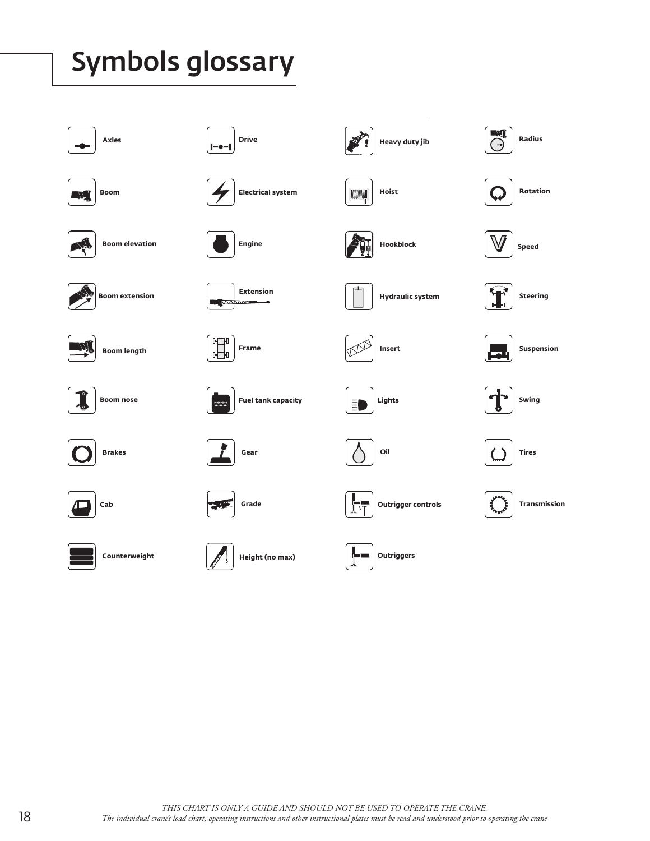# Symbols glossary

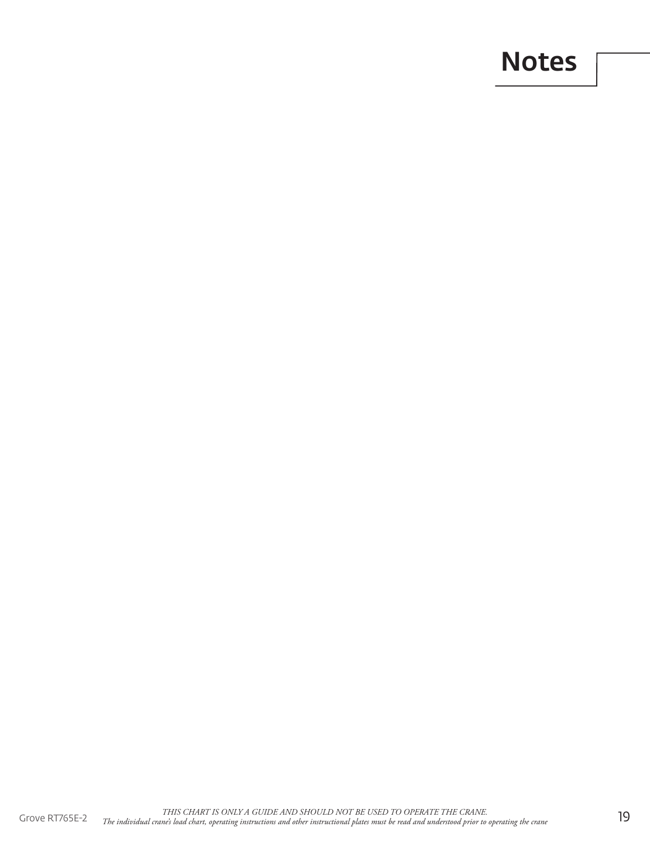# Notes